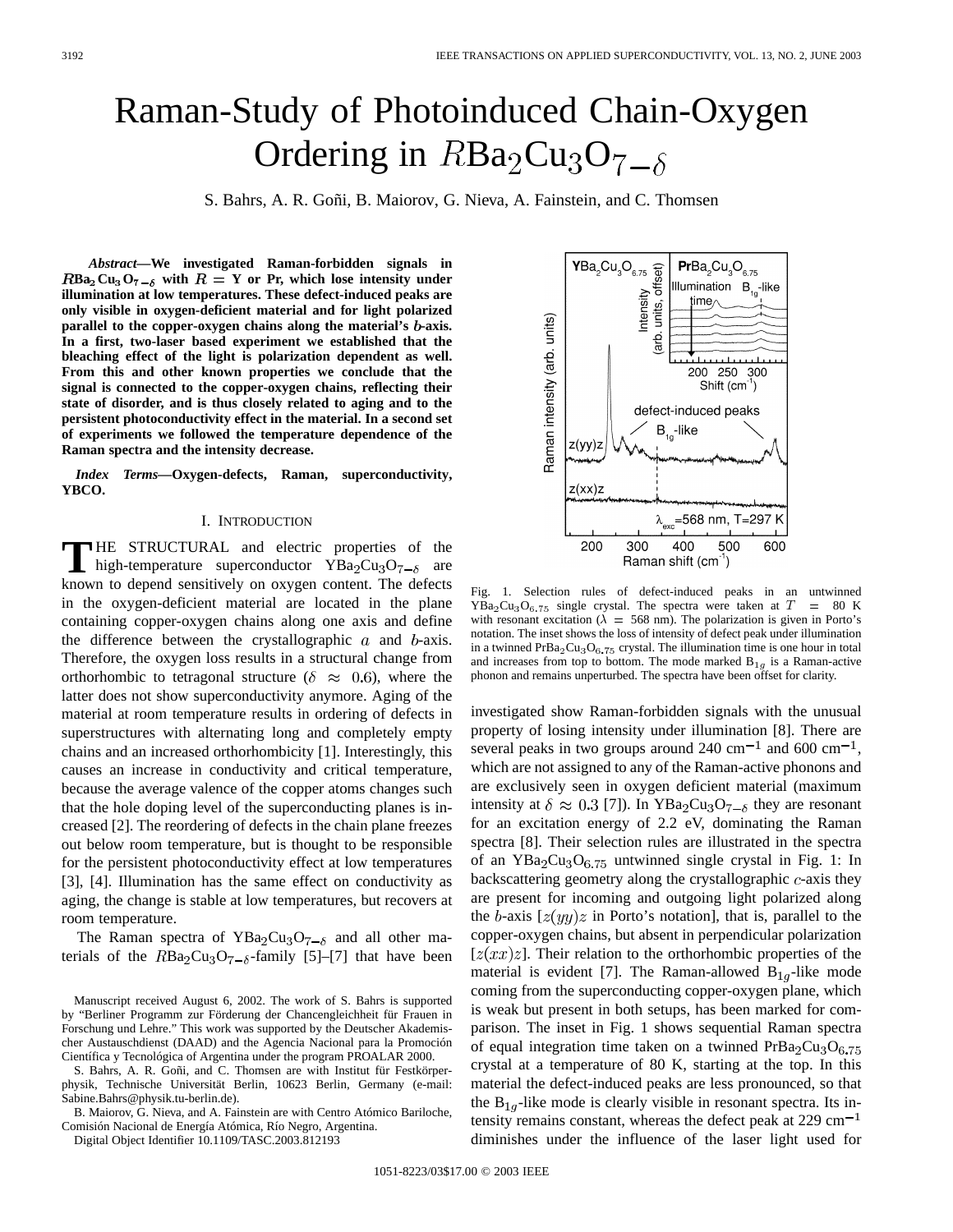# Raman-Study of Photoinduced Chain-Oxygen Ordering in  $RBa_2Cu_3O_7_{\text{--}\delta}$

S. Bahrs, A. R. Goñi, B. Maiorov, G. Nieva, A. Fainstein, and C. Thomsen

*Abstract—***We investigated Raman-forbidden signals in**  $RBa_2Cu_3O_7-\delta$  with  $R = Y$  or Pr, which lose intensity under **illumination at low temperatures. These defect-induced peaks are only visible in oxygen-deficient material and for light polarized** parallel to the copper-oxygen chains along the material's b-axis. **In a first, two-laser based experiment we established that the bleaching effect of the light is polarization dependent as well. From this and other known properties we conclude that the signal is connected to the copper-oxygen chains, reflecting their state of disorder, and is thus closely related to aging and to the persistent photoconductivity effect in the material. In a second set of experiments we followed the temperature dependence of the Raman spectra and the intensity decrease.**

*Index Terms—***Oxygen-defects, Raman, superconductivity, YBCO.**

## I. INTRODUCTION

**T** HE STRUCTURAL and electric properties of the high-temperature superconductor  $YBa<sub>2</sub>Cu<sub>3</sub>O<sub>7-6</sub>$  are known to depend sensitively on oxygen content. The defects in the oxygen-deficient material are located in the plane containing copper-oxygen chains along one axis and define the difference between the crystallographic  $a$  and  $b$ -axis. Therefore, the oxygen loss results in a structural change from orthorhombic to tetragonal structure ( $\delta \approx 0.6$ ), where the latter does not show superconductivity anymore. Aging of the material at room temperature results in ordering of defects in superstructures with alternating long and completely empty chains and an increased orthorhombicity [1]. Interestingly, this causes an increase in conductivity and critical temperature, because the average valence of the copper atoms changes such that the hole doping level of the superconducting planes is increased [2]. The reordering of defects in the chain plane freezes out below room temperature, but is thought to be responsible for the persistent photoconductivity effect at low temperatures [3], [4]. Illumination has the same effect on conductivity as aging, the change is stable at low temperatures, but recovers at room temperature.

The Raman spectra of YBa<sub>2</sub>Cu<sub>3</sub>O<sub>7-6</sub> and all other materials of the  $RBa<sub>2</sub>Cu<sub>3</sub>O<sub>7-6</sub>$ -family [5]–[7] that have been

S. Bahrs, A. R. Goñi, and C. Thomsen are with Institut für Festkörperphysik, Technische Universität Berlin, 10623 Berlin, Germany (e-mail: Sabine.Bahrs@physik.tu-berlin.de).

B. Maiorov, G. Nieva, and A. Fainstein are with Centro Atómico Bariloche, Comisión Nacional de Energía Atómica, Río Negro, Argentina.

Digital Object Identifier 10.1109/TASC.2003.812193

 ${\bf YBa}_2Cu_3O_{6.75} \underbrace{CD}_{\substack{5.005\\0.025}}$  $PrBa_2Cu_3O_{6.75}$ Illumination B<sub>10</sub>-like Intensity<br> **units**, off time. Raman intensity (arb. units) (arb. سلسبيليسيط 200 250 300 Shift  $(cm<sup>-1</sup>)$ defect-induced peaks  $B_{1a}$ -like  $z(yy)z$  $z(xx)z$ =568 nm, T=297 K 200 300 400 500 600 Raman shift (cm<sup>-1</sup>)

Fig. 1. Selection rules of defect-induced peaks in an untwinned  $YBa<sub>2</sub>Cu<sub>3</sub>O<sub>6.75</sub>$  single crystal. The spectra were taken at  $T = 80$  K with resonant excitation ( $\lambda = 568$  nm). The polarization is given in Porto's notation. The inset shows the loss of intensity of defect peak under illumination in a twinned  $PrBa<sub>2</sub>Cu<sub>3</sub>O<sub>6</sub>$  75 crystal. The illumination time is one hour in total and increases from top to bottom. The mode marked  $B_{1g}$  is a Raman-active phonon and remains unperturbed. The spectra have been offset for clarity.

investigated show Raman-forbidden signals with the unusual property of losing intensity under illumination [8]. There are several peaks in two groups around 240 cm<sup> $-1$ </sup> and 600 cm<sup> $-1$ </sup>, which are not assigned to any of the Raman-active phonons and are exclusively seen in oxygen deficient material (maximum intensity at  $\delta \approx 0.3$  [7]). In YBa<sub>2</sub>Cu<sub>3</sub>O<sub>7- $\delta$ </sub> they are resonant for an excitation energy of 2.2 eV, dominating the Raman spectra [8]. Their selection rules are illustrated in the spectra of an  $YBa<sub>2</sub>Cu<sub>3</sub>O<sub>6.75</sub>$  untwinned single crystal in Fig. 1: In backscattering geometry along the crystallographic  $c$ -axis they are present for incoming and outgoing light polarized along the b-axis  $[z(yy)z$  in Porto's notation], that is, parallel to the copper-oxygen chains, but absent in perpendicular polarization  $[z(xx)z]$ . Their relation to the orthorhombic properties of the material is evident [7]. The Raman-allowed  $B_{1q}$ -like mode coming from the superconducting copper-oxygen plane, which is weak but present in both setups, has been marked for comparison. The inset in Fig. 1 shows sequential Raman spectra of equal integration time taken on a twinned  $PrBa<sub>2</sub>Cu<sub>3</sub>O<sub>6.75</sub>$ crystal at a temperature of 80 K, starting at the top. In this material the defect-induced peaks are less pronounced, so that the  $B_{1q}$ -like mode is clearly visible in resonant spectra. Its intensity remains constant, whereas the defect peak at  $229 \text{ cm}^{-1}$ diminishes under the influence of the laser light used for

Manuscript received August 6, 2002. The work of S. Bahrs is supported by "Berliner Programm zur Förderung der Chancengleichheit für Frauen in Forschung und Lehre." This work was supported by the Deutscher Akademischer Austauschdienst (DAAD) and the Agencia Nacional para la Promoción Científica y Tecnológica of Argentina under the program PROALAR 2000.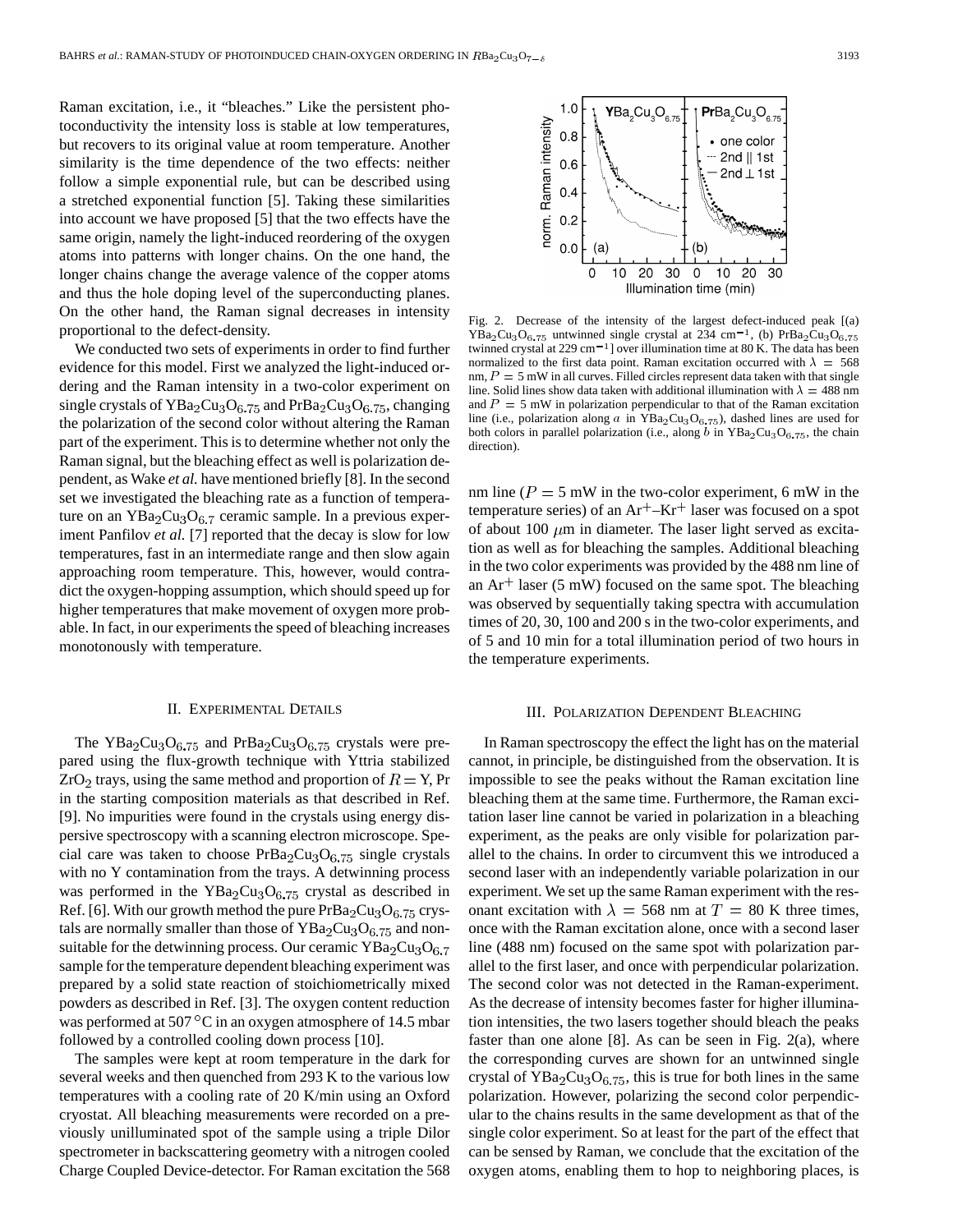Raman excitation, i.e., it "bleaches." Like the persistent photoconductivity the intensity loss is stable at low temperatures, but recovers to its original value at room temperature. Another similarity is the time dependence of the two effects: neither follow a simple exponential rule, but can be described using a stretched exponential function [5]. Taking these similarities into account we have proposed [5] that the two effects have the same origin, namely the light-induced reordering of the oxygen atoms into patterns with longer chains. On the one hand, the longer chains change the average valence of the copper atoms and thus the hole doping level of the superconducting planes. On the other hand, the Raman signal decreases in intensity proportional to the defect-density.

We conducted two sets of experiments in order to find further evidence for this model. First we analyzed the light-induced ordering and the Raman intensity in a two-color experiment on single crystals of  $YBa<sub>2</sub>Cu<sub>3</sub>O<sub>6.75</sub>$  and  $PrBa<sub>2</sub>Cu<sub>3</sub>O<sub>6.75</sub>$ , changing the polarization of the second color without altering the Raman part of the experiment. This is to determine whether not only the Raman signal, but the bleaching effect as well is polarization dependent, as Wake *et al.* have mentioned briefly [8]. In the second set we investigated the bleaching rate as a function of temperature on an  $YBa<sub>2</sub>Cu<sub>3</sub>O<sub>6.7</sub>$  ceramic sample. In a previous experiment Panfilov *et al.* [7] reported that the decay is slow for low temperatures, fast in an intermediate range and then slow again approaching room temperature. This, however, would contradict the oxygen-hopping assumption, which should speed up for higher temperatures that make movement of oxygen more probable. In fact, in our experiments the speed of bleaching increases monotonously with temperature.

## II. EXPERIMENTAL DETAILS

The YBa<sub>2</sub>Cu<sub>3</sub>O<sub>6.75</sub> and PrBa<sub>2</sub>Cu<sub>3</sub>O<sub>6.75</sub> crystals were prepared using the flux-growth technique with Yttria stabilized  $ZrO<sub>2</sub>$  trays, using the same method and proportion of  $R = Y$ , Pr in the starting composition materials as that described in Ref. [9]. No impurities were found in the crystals using energy dispersive spectroscopy with a scanning electron microscope. Special care was taken to choose  $PrBa<sub>2</sub>Cu<sub>3</sub>O<sub>6.75</sub>$  single crystals with no Y contamination from the trays. A detwinning process was performed in the  $YBa<sub>2</sub>Cu<sub>3</sub>O<sub>6.75</sub>$  crystal as described in Ref. [6]. With our growth method the pure  $PrBa_2Cu_3O_{6.75}$  crystals are normally smaller than those of  $YBa<sub>2</sub>Cu<sub>3</sub>O<sub>6.75</sub>$  and nonsuitable for the detwinning process. Our ceramic  $YBa<sub>2</sub>Cu<sub>3</sub>O<sub>6.7</sub>$ sample for the temperature dependent bleaching experiment was prepared by a solid state reaction of stoichiometrically mixed powders as described in Ref. [3]. The oxygen content reduction was performed at 507  $\mathrm{^{\circ}C}$  in an oxygen atmosphere of 14.5 mbar followed by a controlled cooling down process [10].

The samples were kept at room temperature in the dark for several weeks and then quenched from 293 K to the various low temperatures with a cooling rate of 20 K/min using an Oxford cryostat. All bleaching measurements were recorded on a previously unilluminated spot of the sample using a triple Dilor spectrometer in backscattering geometry with a nitrogen cooled Charge Coupled Device-detector. For Raman excitation the 568



Fig. 2. Decrease of the intensity of the largest defect-induced peak [(a)  $YBa<sub>2</sub>Cu<sub>3</sub>O<sub>6.75</sub>$  untwinned single crystal at 234 cm<sup>-1</sup>, (b) PrBa<sub>2</sub>Cu<sub>3</sub>O<sub>6.75</sub> twinned crystal at  $229 \text{ cm}^{-1}$ ] over illumination time at 80 K. The data has been normalized to the first data point. Raman excitation occurred with  $\lambda = 568$ nm,  $P = 5$  mW in all curves. Filled circles represent data taken with that single line. Solid lines show data taken with additional illumination with  $\lambda = 488$  nm and  $P = 5$  mW in polarization perpendicular to that of the Raman excitation line (i.e., polarization along a in  $YBa<sub>2</sub>Cu<sub>3</sub>O<sub>6.75</sub>$ ), dashed lines are used for both colors in parallel polarization (i.e., along b in  $YBa<sub>2</sub>Cu<sub>3</sub>O<sub>6.75</sub>$ , the chain direction).

nm line ( $P = 5$  mW in the two-color experiment, 6 mW in the temperature series) of an  $Ar^+$ –Kr<sup>+</sup> laser was focused on a spot of about 100  $\mu$ m in diameter. The laser light served as excitation as well as for bleaching the samples. Additional bleaching in the two color experiments was provided by the 488 nm line of an  $Ar<sup>+</sup>$  laser (5 mW) focused on the same spot. The bleaching was observed by sequentially taking spectra with accumulation times of 20, 30, 100 and 200 s in the two-color experiments, and of 5 and 10 min for a total illumination period of two hours in the temperature experiments.

### III. POLARIZATION DEPENDENT BLEACHING

In Raman spectroscopy the effect the light has on the material cannot, in principle, be distinguished from the observation. It is impossible to see the peaks without the Raman excitation line bleaching them at the same time. Furthermore, the Raman excitation laser line cannot be varied in polarization in a bleaching experiment, as the peaks are only visible for polarization parallel to the chains. In order to circumvent this we introduced a second laser with an independently variable polarization in our experiment. We set up the same Raman experiment with the resonant excitation with  $\lambda = 568$  nm at  $T = 80$  K three times, once with the Raman excitation alone, once with a second laser line (488 nm) focused on the same spot with polarization parallel to the first laser, and once with perpendicular polarization. The second color was not detected in the Raman-experiment. As the decrease of intensity becomes faster for higher illumination intensities, the two lasers together should bleach the peaks faster than one alone  $[8]$ . As can be seen in Fig. 2(a), where the corresponding curves are shown for an untwinned single crystal of  $YBa<sub>2</sub>Cu<sub>3</sub>O<sub>6.75</sub>$ , this is true for both lines in the same polarization. However, polarizing the second color perpendicular to the chains results in the same development as that of the single color experiment. So at least for the part of the effect that can be sensed by Raman, we conclude that the excitation of the oxygen atoms, enabling them to hop to neighboring places, is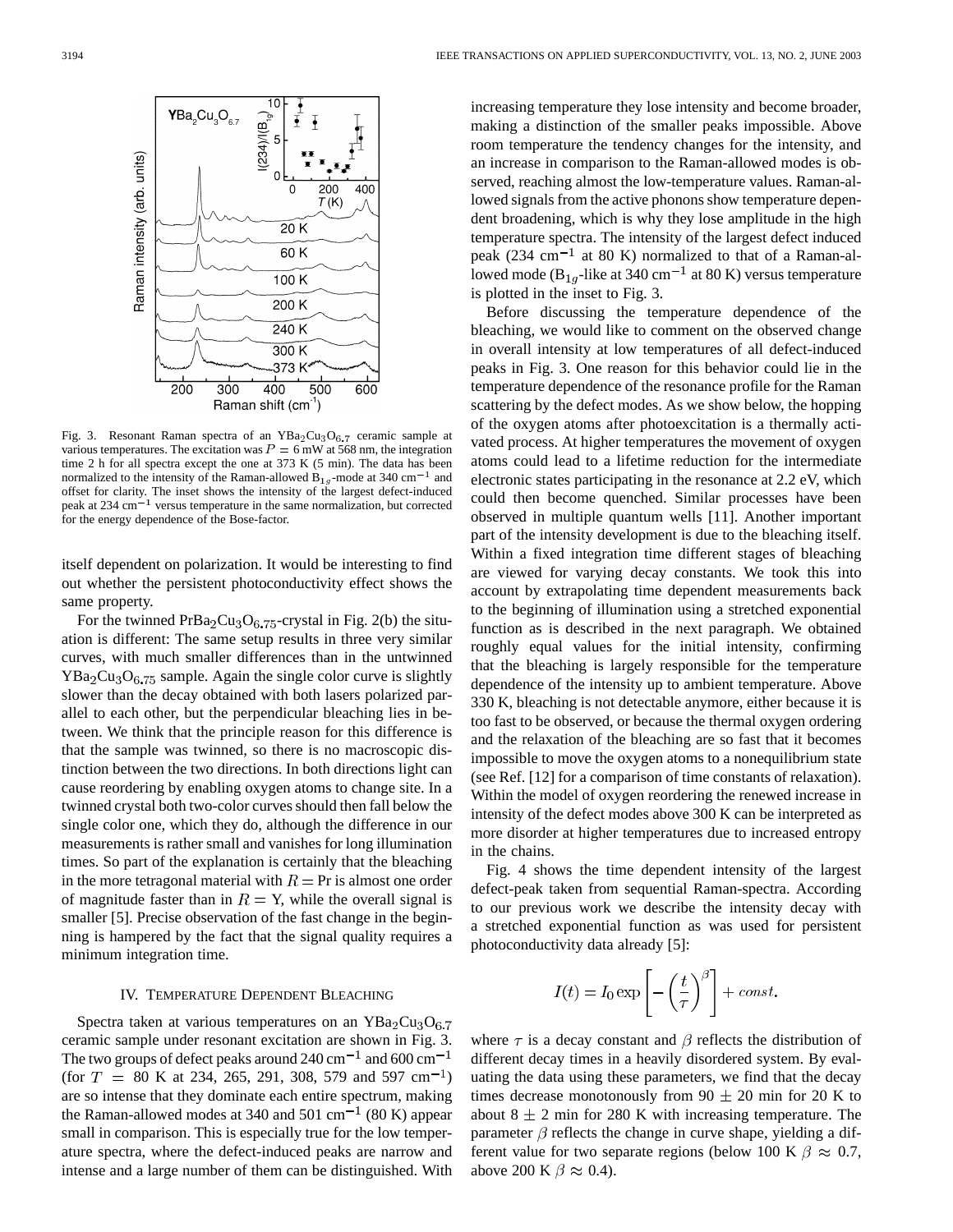

Fig. 3. Resonant Raman spectra of an  $YBa<sub>2</sub>Cu<sub>3</sub>O<sub>6.7</sub>$  ceramic sample at various temperatures. The excitation was  $P = 6$  mW at 568 nm, the integration time 2 h for all spectra except the one at 373 K (5 min). The data has been normalized to the intensity of the Raman-allowed  $B_{1g}$ -mode at 340 cm<sup>-1</sup> and offset for clarity. The inset shows the intensity of the largest defect-induced peak at  $234 \text{ cm}^{-1}$  versus temperature in the same normalization, but corrected for the energy dependence of the Bose-factor.

itself dependent on polarization. It would be interesting to find out whether the persistent photoconductivity effect shows the same property.

For the twinned  $PrBa<sub>2</sub>Cu<sub>3</sub>O<sub>6.75</sub>$ -crystal in Fig. 2(b) the situation is different: The same setup results in three very similar curves, with much smaller differences than in the untwinned  $YBa<sub>2</sub>Cu<sub>3</sub>O<sub>6.75</sub>$  sample. Again the single color curve is slightly slower than the decay obtained with both lasers polarized parallel to each other, but the perpendicular bleaching lies in between. We think that the principle reason for this difference is that the sample was twinned, so there is no macroscopic distinction between the two directions. In both directions light can cause reordering by enabling oxygen atoms to change site. In a twinned crystal both two-color curves should then fall below the single color one, which they do, although the difference in our measurements is rather small and vanishes for long illumination times. So part of the explanation is certainly that the bleaching in the more tetragonal material with  $R = Pr$  is almost one order of magnitude faster than in  $R = Y$ , while the overall signal is smaller [5]. Precise observation of the fast change in the beginning is hampered by the fact that the signal quality requires a minimum integration time.

## IV. TEMPERATURE DEPENDENT BLEACHING

Spectra taken at various temperatures on an  $YBa<sub>2</sub>Cu<sub>3</sub>O<sub>6.7</sub>$ ceramic sample under resonant excitation are shown in Fig. 3. The two groups of defect peaks around 240 cm<sup>-1</sup> and 600 cm<sup>-1</sup> (for  $T = 80$  K at 234, 265, 291, 308, 579 and 597 cm<sup>-1</sup>) are so intense that they dominate each entire spectrum, making the Raman-allowed modes at 340 and 501 cm<sup>-1</sup> (80 K) appear small in comparison. This is especially true for the low temperature spectra, where the defect-induced peaks are narrow and intense and a large number of them can be distinguished. With increasing temperature they lose intensity and become broader, making a distinction of the smaller peaks impossible. Above room temperature the tendency changes for the intensity, and an increase in comparison to the Raman-allowed modes is observed, reaching almost the low-temperature values. Raman-allowed signals from the active phonons show temperature dependent broadening, which is why they lose amplitude in the high temperature spectra. The intensity of the largest defect induced peak (234 cm<sup>-1</sup> at 80 K) normalized to that of a Raman-allowed mode ( $B_{1g}$ -like at 340 cm<sup>-1</sup> at 80 K) versus temperature is plotted in the inset to Fig. 3.

Before discussing the temperature dependence of the bleaching, we would like to comment on the observed change in overall intensity at low temperatures of all defect-induced peaks in Fig. 3. One reason for this behavior could lie in the temperature dependence of the resonance profile for the Raman scattering by the defect modes. As we show below, the hopping of the oxygen atoms after photoexcitation is a thermally activated process. At higher temperatures the movement of oxygen atoms could lead to a lifetime reduction for the intermediate electronic states participating in the resonance at 2.2 eV, which could then become quenched. Similar processes have been observed in multiple quantum wells [11]. Another important part of the intensity development is due to the bleaching itself. Within a fixed integration time different stages of bleaching are viewed for varying decay constants. We took this into account by extrapolating time dependent measurements back to the beginning of illumination using a stretched exponential function as is described in the next paragraph. We obtained roughly equal values for the initial intensity, confirming that the bleaching is largely responsible for the temperature dependence of the intensity up to ambient temperature. Above 330 K, bleaching is not detectable anymore, either because it is too fast to be observed, or because the thermal oxygen ordering and the relaxation of the bleaching are so fast that it becomes impossible to move the oxygen atoms to a nonequilibrium state (see Ref. [12] for a comparison of time constants of relaxation). Within the model of oxygen reordering the renewed increase in intensity of the defect modes above 300 K can be interpreted as more disorder at higher temperatures due to increased entropy in the chains.

Fig. 4 shows the time dependent intensity of the largest defect-peak taken from sequential Raman-spectra. According to our previous work we describe the intensity decay with a stretched exponential function as was used for persistent photoconductivity data already [5]:

$$
I(t) = I_0 \exp\left[-\left(\frac{t}{\tau}\right)^{\beta}\right] + const.
$$

where  $\tau$  is a decay constant and  $\beta$  reflects the distribution of different decay times in a heavily disordered system. By evaluating the data using these parameters, we find that the decay times decrease monotonously from  $90 \pm 20$  min for 20 K to about  $8 \pm 2$  min for 280 K with increasing temperature. The parameter  $\beta$  reflects the change in curve shape, yielding a different value for two separate regions (below 100 K  $\beta \approx 0.7$ , above 200 K  $\beta \approx 0.4$ ).